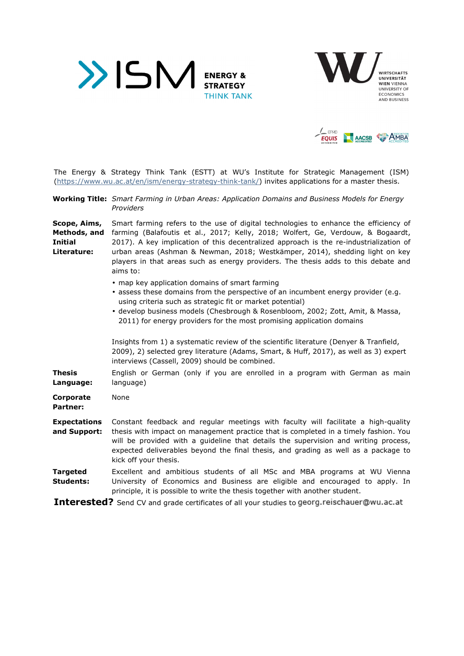





The Energy & Strategy Think Tank (ESTT) at WU's Institute for Strategic Management (ISM) (https://www.wu.ac.at/en/ism/energy-strategy-think-tank/) invites applications for a master thesis.

**Working Title:** *Smart Farming in Urban Areas: Application Domains and Business Models for Energy Providers* 

**Scope, Aims, Methods, and Initial Literature:**  Smart farming refers to the use of digital technologies to enhance the efficiency of farming (Balafoutis et al., 2017; Kelly, 2018; Wolfert, Ge, Verdouw, & Bogaardt, 2017). A key implication of this decentralized approach is the re-industrialization of urban areas (Ashman & Newman, 2018; Westkämper, 2014), shedding light on key players in that areas such as energy providers. The thesis adds to this debate and aims to:

- map key application domains of smart farming
- assess these domains from the perspective of an incumbent energy provider (e.g. using criteria such as strategic fit or market potential)
- develop business models (Chesbrough & Rosenbloom, 2002; Zott, Amit, & Massa, 2011) for energy providers for the most promising application domains

Insights from 1) a systematic review of the scientific literature (Denyer & Tranfield, 2009), 2) selected grey literature (Adams, Smart, & Huff, 2017), as well as 3) expert interviews (Cassell, 2009) should be combined.

**Thesis Language:**  English or German (only if you are enrolled in a program with German as main language)

**Corporate Partner:**  None

- **Expectations and Support:**  Constant feedback and regular meetings with faculty will facilitate a high-quality thesis with impact on management practice that is completed in a timely fashion. You will be provided with a guideline that details the supervision and writing process, expected deliverables beyond the final thesis, and grading as well as a package to kick off your thesis.
- **Targeted Students:**  Excellent and ambitious students of all MSc and MBA programs at WU Vienna University of Economics and Business are eligible and encouraged to apply. In principle, it is possible to write the thesis together with another student.

Interested? Send CV and grade certificates of all your studies to georg.reischauer@wu.ac.at